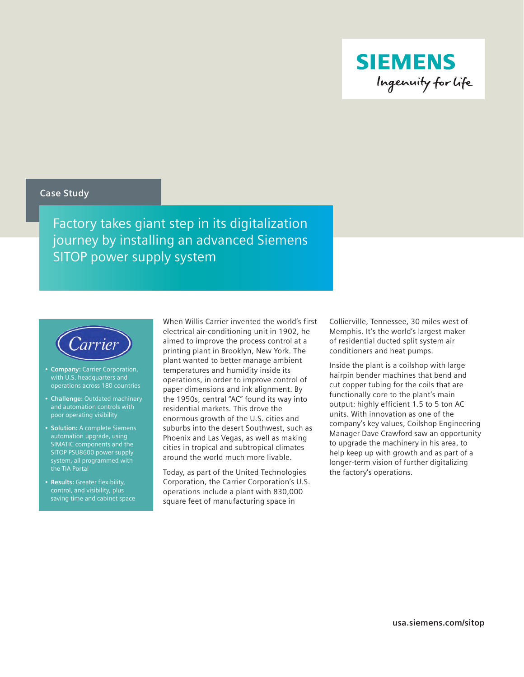

### **Case Study**

Factory takes giant step in its digitalization journey by installing an advanced Siemens SITOP power supply system



- • **Company:** Carrier Corporation, with U.S. headquarters and operations across 180 countries
- • **Challenge:** Outdated machinery poor operating visibility
- • **Solution:** A complete Siemens automation upgrade, using SIMATIC components and the SITOP PSU8600 power supply system, all programmed with the TIA Portal
- • **Results:** Greater flexibility, control, and visibility, plus saving time and cabinet space

When Willis Carrier invented the world's first electrical air-conditioning unit in 1902, he aimed to improve the process control at a printing plant in Brooklyn, New York. The plant wanted to better manage ambient temperatures and humidity inside its operations, in order to improve control of paper dimensions and ink alignment. By the 1950s, central "AC" found its way into residential markets. This drove the enormous growth of the U.S. cities and suburbs into the desert Southwest, such as Phoenix and Las Vegas, as well as making cities in tropical and subtropical climates around the world much more livable.

Today, as part of the United Technologies Corporation, the Carrier Corporation's U.S. operations include a plant with 830,000 square feet of manufacturing space in

Collierville, Tennessee, 30 miles west of Memphis. It's the world's largest maker of residential ducted split system air conditioners and heat pumps.

Inside the plant is a coilshop with large hairpin bender machines that bend and cut copper tubing for the coils that are functionally core to the plant's main output: highly efficient 1.5 to 5 ton AC units. With innovation as one of the company's key values, Coilshop Engineering Manager Dave Crawford saw an opportunity to upgrade the machinery in his area, to help keep up with growth and as part of a longer-term vision of further digitalizing the factory's operations.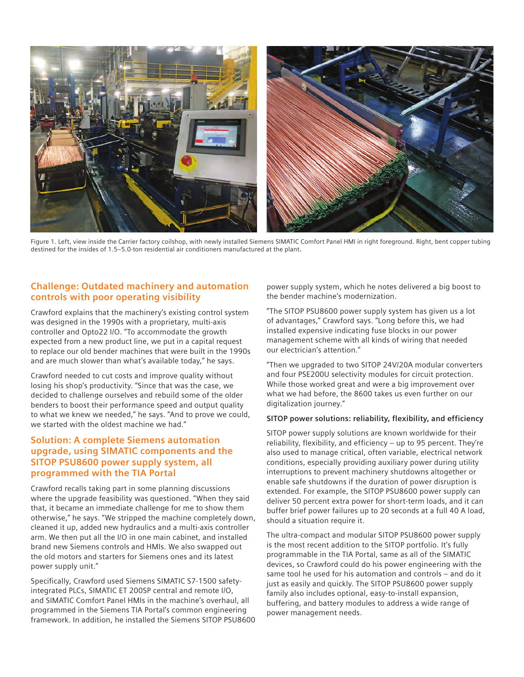

Figure 1. Left, view inside the Carrier factory coilshop, with newly installed Siemens SIMATIC Comfort Panel HMI in right foreground. Right, bent copper tubing destined for the insides of 1.5–5.0-ton residential air conditioners manufactured at the plant.

## **Challenge: Outdated machinery and automation controls with poor operating visibility**

Crawford explains that the machinery's existing control system was designed in the 1990s with a proprietary, multi-axis controller and Opto22 I/O. "To accommodate the growth expected from a new product line, we put in a capital request to replace our old bender machines that were built in the 1990s and are much slower than what's available today," he says.

Crawford needed to cut costs and improve quality without losing his shop's productivity. "Since that was the case, we decided to challenge ourselves and rebuild some of the older benders to boost their performance speed and output quality to what we knew we needed," he says. "And to prove we could, we started with the oldest machine we had."

## **Solution: A complete Siemens automation upgrade, using SIMATIC components and the SITOP PSU8600 power supply system, all programmed with the TIA Portal**

Crawford recalls taking part in some planning discussions where the upgrade feasibility was questioned. "When they said that, it became an immediate challenge for me to show them otherwise," he says. "We stripped the machine completely down, cleaned it up, added new hydraulics and a multi-axis controller arm. We then put all the I/O in one main cabinet, and installed brand new Siemens controls and HMIs. We also swapped out the old motors and starters for Siemens ones and its latest power supply unit."

Specifically, Crawford used Siemens SIMATIC S7-1500 safetyintegrated PLCs, SIMATIC ET 200SP central and remote I/O, and SIMATIC Comfort Panel HMIs in the machine's overhaul, all programmed in the Siemens TIA Portal's common engineering framework. In addition, he installed the Siemens SITOP PSU8600 power supply system, which he notes delivered a big boost to the bender machine's modernization.

"The SITOP PSU8600 power supply system has given us a lot of advantages," Crawford says. "Long before this, we had installed expensive indicating fuse blocks in our power management scheme with all kinds of wiring that needed our electrician's attention."

"Then we upgraded to two SITOP 24V/20A modular converters and four PSE200U selectivity modules for circuit protection. While those worked great and were a big improvement over what we had before, the 8600 takes us even further on our digitalization journey."

### **SITOP power solutions: reliability, flexibility, and efficiency**

SITOP power supply solutions are known worldwide for their reliability, flexibility, and efficiency – up to 95 percent. They're also used to manage critical, often variable, electrical network conditions, especially providing auxiliary power during utility interruptions to prevent machinery shutdowns altogether or enable safe shutdowns if the duration of power disruption is extended. For example, the SITOP PSU8600 power supply can deliver 50 percent extra power for short-term loads, and it can buffer brief power failures up to 20 seconds at a full 40 A load, should a situation require it.

The ultra-compact and modular SITOP PSU8600 power supply is the most recent addition to the SITOP portfolio. It's fully programmable in the TIA Portal, same as all of the SIMATIC devices, so Crawford could do his power engineering with the same tool he used for his automation and controls – and do it just as easily and quickly. The SITOP PSU8600 power supply family also includes optional, easy-to-install expansion, buffering, and battery modules to address a wide range of power management needs.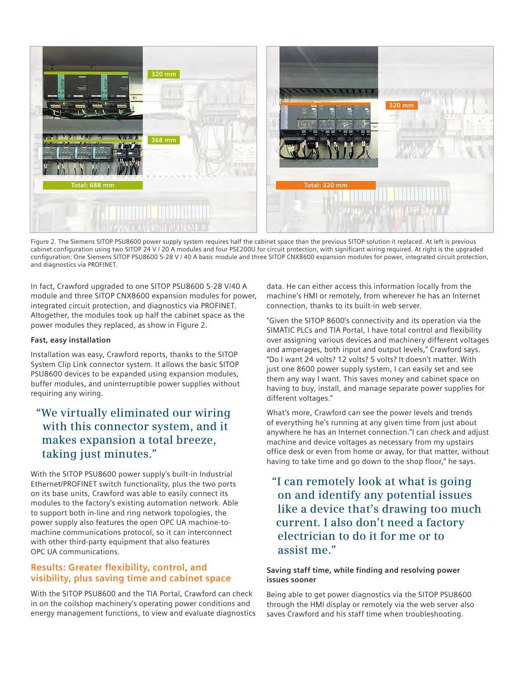

Figure 2. The Siemens SITOP PSU8600 power supply system requires half the cabinet space than the previous SITOP solution it replaced. At left is previous cabinet configuration using two SITOP 24 V / 20 A modules and four PSE200U for circuit protection, with significant wiring required. At right is the upgraded configuration: One Siemens SITOP PSU8600 5-28 V / 40 A basic module and three SITOP CNX8600 expansion modules for power, integrated circuit protection, and diagnostics via PROFINET.

In fact, Crawford upgraded to one SITOP PSU8600 5-28 V/40 A module and three SITOP CNX8600 expansion modules for power, integrated circuit protection, and diagnostics via PROFINET. Altogether, the modules took up half the cabinet space as the power modules they replaced, as show in Figure 2.

#### **Fast, easy installation**

Installation was easy, Crawford reports, thanks to the SITOP System Clip Link connector system. It allows the basic SITOP PSU8600 devices to be expanded using expansion modules, buffer modules, and uninterruptible power supplies without requiring any wiring.

# **"We virtually eliminated our wiring with this connector system, and it makes expansion a total breeze, taking just minutes."**

With the SITOP PSU8600 power supply's built-in Industrial Ethernet/PROFINET switch functionality, plus the two ports on its base units, Crawford was able to easily connect its modules to the factory's existing automation network. Able to support both in-line and ring network topologies, the power supply also features the open OPC UA machine-tomachine communications protocol, so it can interconnect with other third-party equipment that also features OPC UA communications.

### **Results: Greater flexibility, control, and visibility, plus saving time and cabinet space**

With the SITOP PSU8600 and the TIA Portal, Crawford can check in on the coilshop machinery's operating power conditions and energy management functions, to view and evaluate diagnostics

data. He can either access this information locally from the machine's HMI or remotely, from wherever he has an Internet connection, thanks to its built-in web server.

"Given the SITOP 8600's connectivity and its operation via the SIMATIC PLCs and TIA Portal, I have total control and flexibility over assigning various devices and machinery different voltages and amperages, both input and output levels," Crawford says. "Do I want 24 volts? 12 volts? 5 volts? It doesn't matter. With just one 8600 power supply system, I can easily set and see them any way I want. This saves money and cabinet space on having to buy, install, and manage separate power supplies for different voltages."

What's more, Crawford can see the power levels and trends of everything he's running at any given time from just about anywhere he has an Internet connection."I can check and adjust machine and device voltages as necessary from my upstairs office desk or even from home or away, for that matter, without having to take time and go down to the shop floor," he says.

# **"I can remotely look at what is going on and identify any potential issues like a device that's drawing too much current. I also don't need a factory electrician to do it for me or to assist me."**

### **Saving staff time, while finding and resolving power issues sooner**

Being able to get power diagnostics via the SITOP PSU8600 through the HMI display or remotely via the web server also saves Crawford and his staff time when troubleshooting.